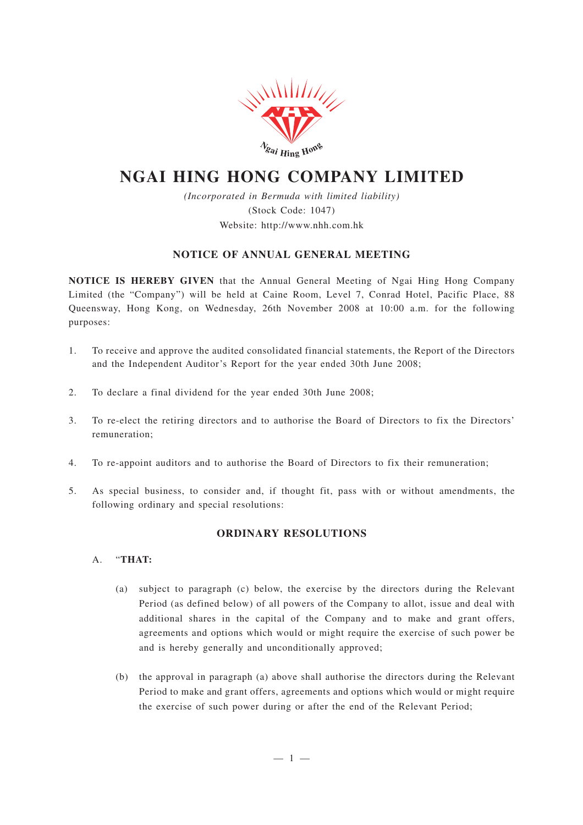

# **NGAI HING HONG COMPANY LIMITED**

*(Incorporated in Bermuda with limited liability)* (Stock Code: 1047) Website: http://www.nhh.com.hk

# **NOTICE OF ANNUAL GENERAL MEETING**

**NOTICE IS HEREBY GIVEN** that the Annual General Meeting of Ngai Hing Hong Company Limited (the "Company") will be held at Caine Room, Level 7, Conrad Hotel, Pacific Place, 88 Queensway, Hong Kong, on Wednesday, 26th November 2008 at 10:00 a.m. for the following purposes:

- 1. To receive and approve the audited consolidated financial statements, the Report of the Directors and the Independent Auditor's Report for the year ended 30th June 2008;
- 2. To declare a final dividend for the year ended 30th June 2008;
- 3. To re-elect the retiring directors and to authorise the Board of Directors to fix the Directors' remuneration;
- 4. To re-appoint auditors and to authorise the Board of Directors to fix their remuneration;
- 5. As special business, to consider and, if thought fit, pass with or without amendments, the following ordinary and special resolutions:

# **ORDINARY RESOLUTIONS**

- A. "**THAT:**
	- (a) subject to paragraph (c) below, the exercise by the directors during the Relevant Period (as defined below) of all powers of the Company to allot, issue and deal with additional shares in the capital of the Company and to make and grant offers, agreements and options which would or might require the exercise of such power be and is hereby generally and unconditionally approved;
	- (b) the approval in paragraph (a) above shall authorise the directors during the Relevant Period to make and grant offers, agreements and options which would or might require the exercise of such power during or after the end of the Relevant Period;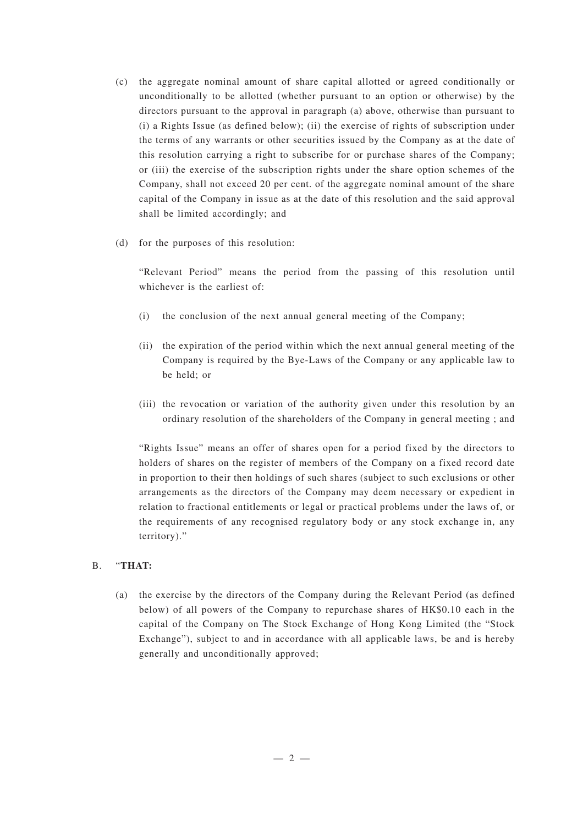- (c) the aggregate nominal amount of share capital allotted or agreed conditionally or unconditionally to be allotted (whether pursuant to an option or otherwise) by the directors pursuant to the approval in paragraph (a) above, otherwise than pursuant to (i) a Rights Issue (as defined below); (ii) the exercise of rights of subscription under the terms of any warrants or other securities issued by the Company as at the date of this resolution carrying a right to subscribe for or purchase shares of the Company; or (iii) the exercise of the subscription rights under the share option schemes of the Company, shall not exceed 20 per cent. of the aggregate nominal amount of the share capital of the Company in issue as at the date of this resolution and the said approval shall be limited accordingly; and
- (d) for the purposes of this resolution:

"Relevant Period" means the period from the passing of this resolution until whichever is the earliest of:

- (i) the conclusion of the next annual general meeting of the Company;
- (ii) the expiration of the period within which the next annual general meeting of the Company is required by the Bye-Laws of the Company or any applicable law to be held; or
- (iii) the revocation or variation of the authority given under this resolution by an ordinary resolution of the shareholders of the Company in general meeting ; and

"Rights Issue" means an offer of shares open for a period fixed by the directors to holders of shares on the register of members of the Company on a fixed record date in proportion to their then holdings of such shares (subject to such exclusions or other arrangements as the directors of the Company may deem necessary or expedient in relation to fractional entitlements or legal or practical problems under the laws of, or the requirements of any recognised regulatory body or any stock exchange in, any territory)."

## B. "**THAT:**

(a) the exercise by the directors of the Company during the Relevant Period (as defined below) of all powers of the Company to repurchase shares of HK\$0.10 each in the capital of the Company on The Stock Exchange of Hong Kong Limited (the "Stock Exchange"), subject to and in accordance with all applicable laws, be and is hereby generally and unconditionally approved;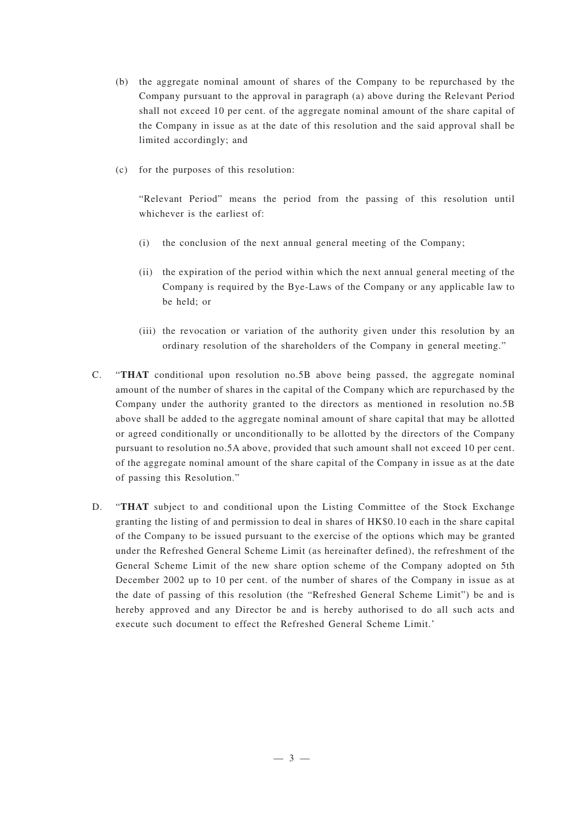- (b) the aggregate nominal amount of shares of the Company to be repurchased by the Company pursuant to the approval in paragraph (a) above during the Relevant Period shall not exceed 10 per cent. of the aggregate nominal amount of the share capital of the Company in issue as at the date of this resolution and the said approval shall be limited accordingly; and
- (c) for the purposes of this resolution:

"Relevant Period" means the period from the passing of this resolution until whichever is the earliest of:

- (i) the conclusion of the next annual general meeting of the Company;
- (ii) the expiration of the period within which the next annual general meeting of the Company is required by the Bye-Laws of the Company or any applicable law to be held; or
- (iii) the revocation or variation of the authority given under this resolution by an ordinary resolution of the shareholders of the Company in general meeting."
- C. "**THAT** conditional upon resolution no.5B above being passed, the aggregate nominal amount of the number of shares in the capital of the Company which are repurchased by the Company under the authority granted to the directors as mentioned in resolution no.5B above shall be added to the aggregate nominal amount of share capital that may be allotted or agreed conditionally or unconditionally to be allotted by the directors of the Company pursuant to resolution no.5A above, provided that such amount shall not exceed 10 per cent. of the aggregate nominal amount of the share capital of the Company in issue as at the date of passing this Resolution."
- D. "**THAT** subject to and conditional upon the Listing Committee of the Stock Exchange granting the listing of and permission to deal in shares of HK\$0.10 each in the share capital of the Company to be issued pursuant to the exercise of the options which may be granted under the Refreshed General Scheme Limit (as hereinafter defined), the refreshment of the General Scheme Limit of the new share option scheme of the Company adopted on 5th December 2002 up to 10 per cent. of the number of shares of the Company in issue as at the date of passing of this resolution (the "Refreshed General Scheme Limit") be and is hereby approved and any Director be and is hereby authorised to do all such acts and execute such document to effect the Refreshed General Scheme Limit.'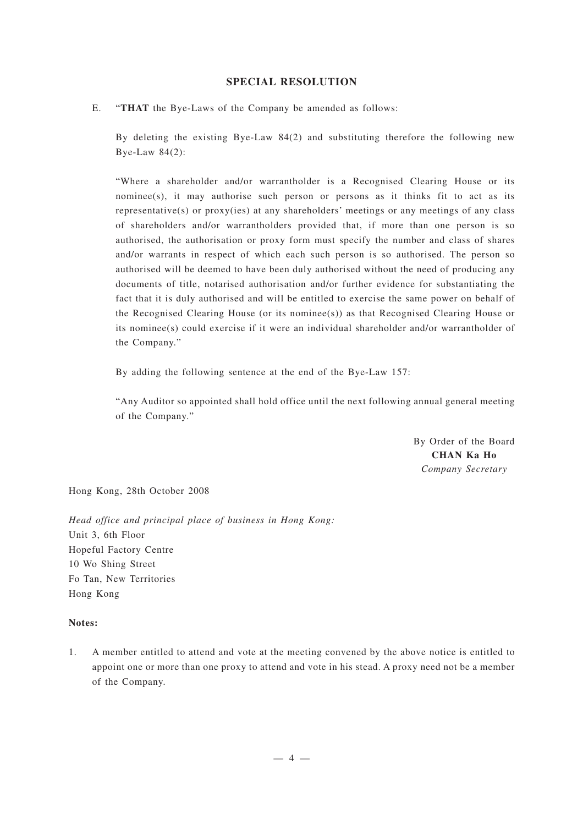### **SPECIAL RESOLUTION**

### E. "**THAT** the Bye-Laws of the Company be amended as follows:

By deleting the existing Bye-Law 84(2) and substituting therefore the following new Bye-Law 84(2):

"Where a shareholder and/or warrantholder is a Recognised Clearing House or its nominee(s), it may authorise such person or persons as it thinks fit to act as its representative(s) or proxy(ies) at any shareholders' meetings or any meetings of any class of shareholders and/or warrantholders provided that, if more than one person is so authorised, the authorisation or proxy form must specify the number and class of shares and/or warrants in respect of which each such person is so authorised. The person so authorised will be deemed to have been duly authorised without the need of producing any documents of title, notarised authorisation and/or further evidence for substantiating the fact that it is duly authorised and will be entitled to exercise the same power on behalf of the Recognised Clearing House (or its nominee(s)) as that Recognised Clearing House or its nominee(s) could exercise if it were an individual shareholder and/or warrantholder of the Company."

By adding the following sentence at the end of the Bye-Law 157:

"Any Auditor so appointed shall hold office until the next following annual general meeting of the Company."

> By Order of the Board **CHAN Ka Ho** *Company Secretary*

Hong Kong, 28th October 2008

*Head office and principal place of business in Hong Kong:* Unit 3, 6th Floor Hopeful Factory Centre 10 Wo Shing Street Fo Tan, New Territories Hong Kong

#### **Notes:**

1. A member entitled to attend and vote at the meeting convened by the above notice is entitled to appoint one or more than one proxy to attend and vote in his stead. A proxy need not be a member of the Company.